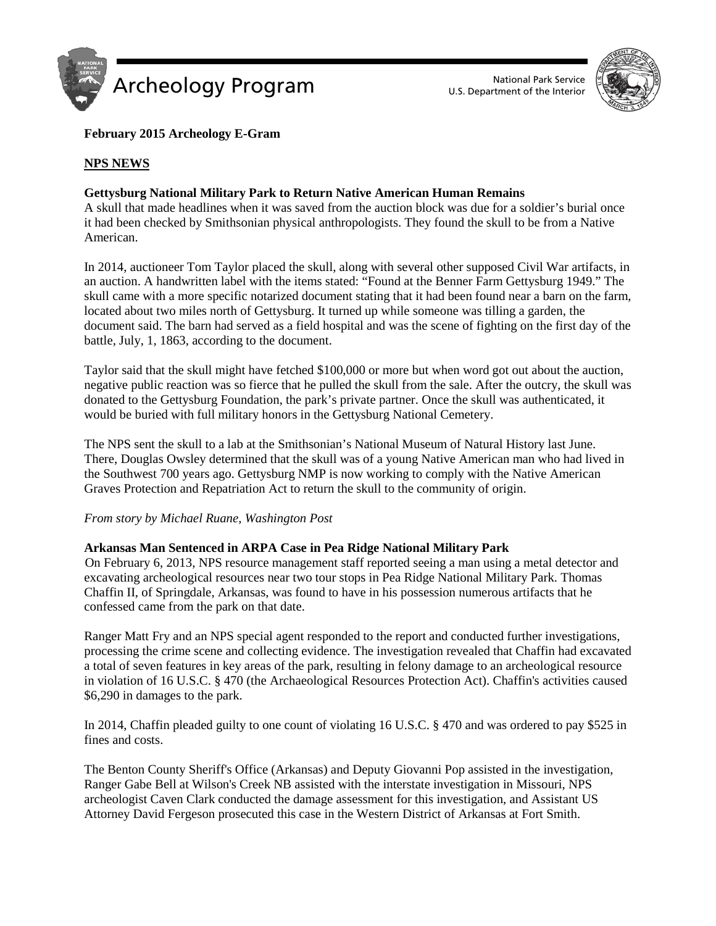



## **February 2015 Archeology E-Gram**

## **NPS NEWS**

## **Gettysburg National Military Park to Return Native American Human Remains**

A skull that made headlines when it was saved from the auction block was due for a soldier's burial once it had been checked by Smithsonian physical anthropologists. They found the skull to be from a Native American.

In 2014, auctioneer Tom Taylor placed the skull, along with several other supposed Civil War artifacts, in an auction. A handwritten label with the items stated: "Found at the Benner Farm Gettysburg 1949." The skull came with a more specific notarized document stating that it had been found near a barn on the farm, located about two miles north of Gettysburg. It turned up while someone was tilling a garden, the document said. The barn had served as a field hospital and was the scene of fighting on the first day of the battle, July, 1, 1863, according to the document.

Taylor said that the skull might have fetched \$100,000 or more but when word got out about the auction, negative public reaction was so fierce that he pulled the skull from the sale. After the outcry, the skull was donated to the Gettysburg Foundation, the park's private partner. Once the skull was authenticated, it would be buried with full military honors in the Gettysburg National Cemetery.

The NPS sent the skull to a lab at the Smithsonian's National Museum of Natural History last June. There, Douglas Owsley determined that the skull was of a young Native American man who had lived in the Southwest 700 years ago. Gettysburg NMP is now working to comply with the Native American Graves Protection and Repatriation Act to return the skull to the community of origin.

### *From story by Michael Ruane, Washington Post*

### **Arkansas Man Sentenced in ARPA Case in Pea Ridge National Military Park**

On February 6, 2013, NPS resource management staff reported seeing a man using a metal detector and excavating archeological resources near two tour stops in Pea Ridge National Military Park. Thomas Chaffin II, of Springdale, Arkansas, was found to have in his possession numerous artifacts that he confessed came from the park on that date.

Ranger Matt Fry and an NPS special agent responded to the report and conducted further investigations, processing the crime scene and collecting evidence. The investigation revealed that Chaffin had excavated a total of seven features in key areas of the park, resulting in felony damage to an archeological resource in violation of 16 U.S.C. § 470 (the Archaeological Resources Protection Act). Chaffin's activities caused \$6,290 in damages to the park.

In 2014, Chaffin pleaded guilty to one count of violating 16 U.S.C. § 470 and was ordered to pay \$525 in fines and costs.

The Benton County Sheriff's Office (Arkansas) and Deputy Giovanni Pop assisted in the investigation, Ranger Gabe Bell at Wilson's Creek NB assisted with the interstate investigation in Missouri, NPS archeologist Caven Clark conducted the damage assessment for this investigation, and Assistant US Attorney David Fergeson prosecuted this case in the Western District of Arkansas at Fort Smith.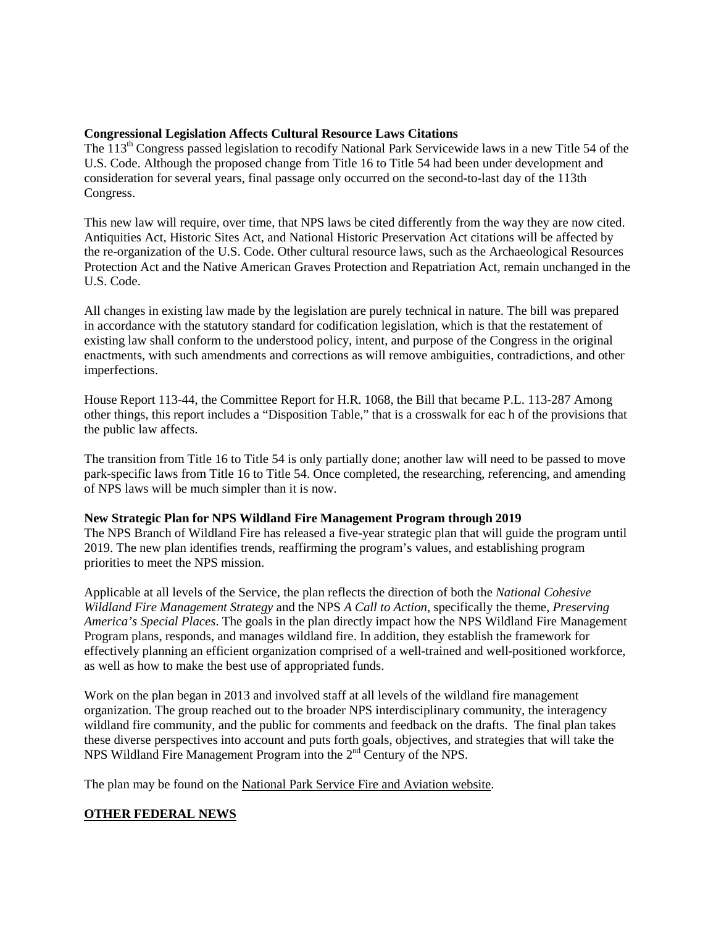### **Congressional Legislation Affects Cultural Resource Laws Citations**

The 113th Congress passed legislation to recodify National Park Servicewide laws in a new Title 54 of the U.S. Code. Although the proposed change from Title 16 to Title 54 had been under development and consideration for several years, final passage only occurred on the second-to-last day of the 113th Congress.

This new law will require, over time, that NPS laws be cited differently from the way they are now cited. Antiquities Act, Historic Sites Act, and National Historic Preservation Act citations will be affected by the re-organization of the U.S. Code. Other cultural resource laws, such as the Archaeological Resources Protection Act and the Native American Graves Protection and Repatriation Act, remain unchanged in the U.S. Code.

All changes in existing law made by the legislation are purely technical in nature. The bill was prepared in accordance with the statutory standard for codification legislation, which is that the restatement of existing law shall conform to the understood policy, intent, and purpose of the Congress in the original enactments, with such amendments and corrections as will remove ambiguities, contradictions, and other imperfections.

House Report 113-44, the Committee Report for H.R. 1068, the Bill that became P.L. 113-287 Among other things, this report includes a "Disposition Table," that is a crosswalk for eac h of the provisions that the public law affects.

The transition from Title 16 to Title 54 is only partially done; another law will need to be passed to move park-specific laws from Title 16 to Title 54. Once completed, the researching, referencing, and amending of NPS laws will be much simpler than it is now.

### **New Strategic Plan for NPS Wildland Fire Management Program through 2019**

The NPS Branch of Wildland Fire has released a five-year strategic plan that will guide the program until 2019. The new plan identifies trends, reaffirming the program's values, and establishing program priorities to meet the NPS mission.

Applicable at all levels of the Service, the plan reflects the direction of both the *National Cohesive Wildland Fire Management Strategy* and the NPS *A Call to Action*, specifically the theme, *Preserving America's Special Places*. The goals in the plan directly impact how the NPS Wildland Fire Management Program plans, responds, and manages wildland fire. In addition, they establish the framework for effectively planning an efficient organization comprised of a well-trained and well-positioned workforce, as well as how to make the best use of appropriated funds.

Work on the plan began in 2013 and involved staff at all levels of the wildland fire management organization. The group reached out to the broader NPS interdisciplinary community, the interagency wildland fire community, and the public for comments and feedback on the drafts. The final plan takes these diverse perspectives into account and puts forth goals, objectives, and strategies that will take the NPS Wildland Fire Management Program into the 2<sup>nd</sup> Century of the NPS.

The plan may be found on the [National Park Service Fire and Aviation website.](http://www.nps.gov/fire/wildland-fire/about/plans.cfm)

# **OTHER FEDERAL NEWS**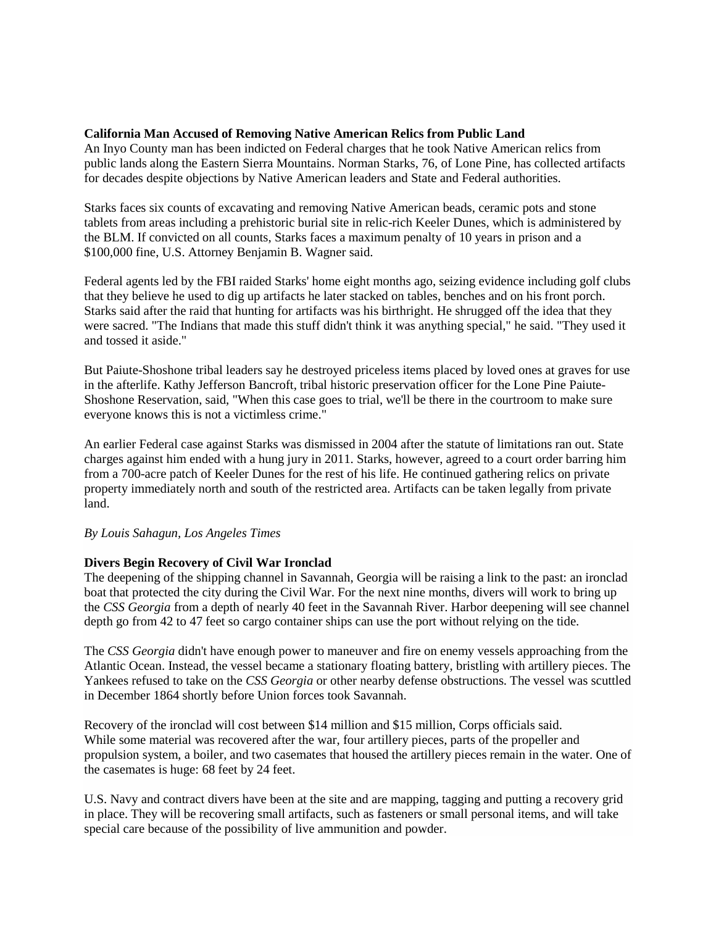#### **California Man Accused of Removing Native American Relics from Public Land**

An Inyo County man has been indicted on Federal charges that he took Native American relics from public lands along the Eastern Sierra Mountains. Norman Starks, 76, of Lone Pine, has collected artifacts for decades despite objections by Native American leaders and State and Federal authorities.

Starks faces six counts of excavating and removing Native American beads, ceramic pots and stone tablets from areas including a prehistoric burial site in relic-rich Keeler Dunes, which is administered by the BLM. If convicted on all counts, Starks faces a maximum penalty of 10 years in prison and a \$100,000 fine, U.S. Attorney Benjamin B. Wagner said.

Federal agents led by the FBI raided Starks' home eight months ago, seizing evidence including golf clubs that they believe he used to dig up artifacts he later stacked on tables, benches and on his front porch. Starks said after the raid that hunting for artifacts was his birthright. He shrugged off the idea that they were sacred. "The Indians that made this stuff didn't think it was anything special," he said. "They used it and tossed it aside."

But Paiute-Shoshone tribal leaders say he destroyed priceless items placed by loved ones at graves for use in the afterlife. Kathy Jefferson Bancroft, tribal historic preservation officer for the Lone Pine Paiute-Shoshone Reservation, said, "When this case goes to trial, we'll be there in the courtroom to make sure everyone knows this is not a victimless crime."

An earlier Federal case against Starks was dismissed in 2004 after the statute of limitations ran out. State charges against him ended with a hung jury in 2011. Starks, however, agreed to a court order barring him from a 700-acre patch of Keeler Dunes for the rest of his life. He continued gathering relics on private property immediately north and south of the restricted area. Artifacts can be taken legally from private land.

### *By Louis Sahagun, Los Angeles Times*

### **Divers Begin Recovery of Civil War Ironclad**

The deepening of the shipping channel in Savannah, Georgia will be raising a link to the past: an ironclad boat that protected the city during the Civil War. For the next nine months, divers will work to bring up the *CSS Georgia* from a depth of nearly 40 feet in the Savannah River. Harbor deepening will see channel depth go from 42 to 47 feet so cargo container ships can use the port without relying on the tide.

The *CSS Georgia* didn't have enough power to maneuver and fire on enemy vessels approaching from the Atlantic Ocean. Instead, the vessel became a stationary floating battery, bristling with artillery pieces. The Yankees refused to take on the *CSS Georgia* or other nearby defense obstructions. The vessel was scuttled in December 1864 shortly before Union forces took Savannah.

Recovery of the ironclad will cost between \$14 million and \$15 million, Corps officials said. While some material was recovered after the war, four artillery pieces, parts of the propeller and propulsion system, a boiler, and two casemates that housed the artillery pieces remain in the water. One of the casemates is huge: 68 feet by 24 feet.

U.S. Navy and contract divers have been at the site and are mapping, tagging and putting a recovery grid in place. They will be recovering small artifacts, such as fasteners or small personal items, and will take special care because of the possibility of live ammunition and powder.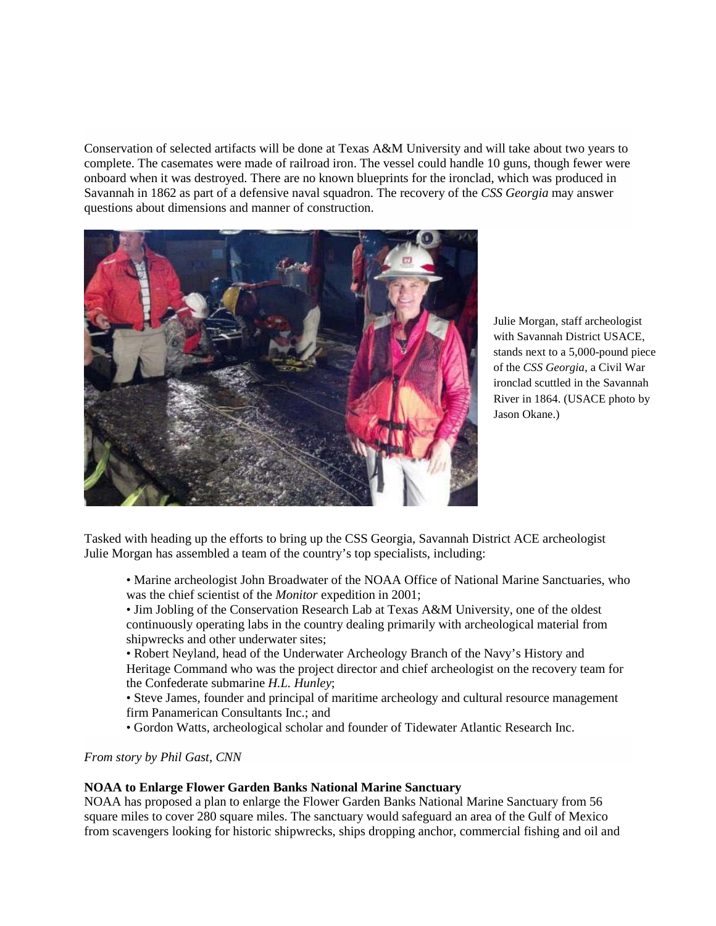Conservation of selected artifacts will be done at Texas A&M University and will take about two years to complete. The casemates were made of railroad iron. The vessel could handle 10 guns, though fewer were onboard when it was destroyed. There are no known blueprints for the ironclad, which was produced in Savannah in 1862 as part of a defensive naval squadron. The recovery of the *CSS Georgia* may answer questions about dimensions and manner of construction.



Julie Morgan, staff archeologist with Savannah District USACE, stands next to a 5,000-pound piece of the *CSS Georgia*, a Civil War ironclad scuttled in the Savannah River in 1864. (USACE photo by Jason Okane.)

Tasked with heading up the efforts to bring up the CSS Georgia, Savannah District ACE archeologist Julie Morgan has assembled a team of the country's top specialists, including:

- Marine archeologist John Broadwater of the NOAA Office of National Marine Sanctuaries, who was the chief scientist of the *Monitor* expedition in 2001;
- Jim Jobling of the Conservation Research Lab at Texas A&M University, one of the oldest continuously operating labs in the country dealing primarily with archeological material from shipwrecks and other underwater sites;
- Robert Neyland, head of the Underwater Archeology Branch of the Navy's History and Heritage Command who was the project director and chief archeologist on the recovery team for the Confederate submarine *H.L. Hunley*;
- Steve James, founder and principal of maritime archeology and cultural resource management firm Panamerican Consultants Inc.; and
- Gordon Watts, archeological scholar and founder of Tidewater Atlantic Research Inc.

### *From story by Phil Gast, CNN*

### **NOAA to Enlarge Flower Garden Banks National Marine Sanctuary**

NOAA has proposed a plan to enlarge the Flower Garden Banks National Marine Sanctuary from 56 square miles to cover 280 square miles. The sanctuary would safeguard an area of the Gulf of Mexico from scavengers looking for historic shipwrecks, ships dropping anchor, commercial fishing and oil and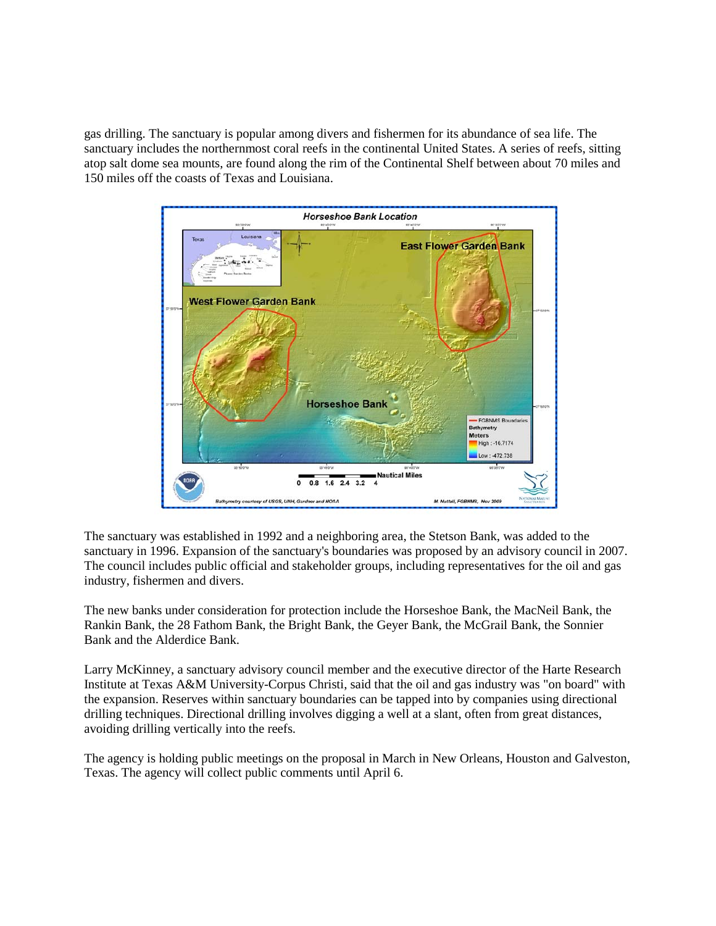gas drilling. The sanctuary is popular among divers and fishermen for its abundance of sea life. The sanctuary includes the northernmost coral reefs in the continental United States. A series of reefs, sitting atop salt dome sea mounts, are found along the rim of the Continental Shelf between about 70 miles and 150 miles off the coasts of Texas and Louisiana.



The sanctuary was established in 1992 and a neighboring area, the Stetson Bank, was added to the sanctuary in 1996. Expansion of the sanctuary's boundaries was proposed by an advisory council in 2007. The council includes public official and stakeholder groups, including representatives for the oil and gas industry, fishermen and divers.

The new banks under consideration for protection include the Horseshoe Bank, the MacNeil Bank, the Rankin Bank, the 28 Fathom Bank, the Bright Bank, the Geyer Bank, the McGrail Bank, the Sonnier Bank and the Alderdice Bank.

Larry McKinney, a sanctuary advisory council member and the executive director of the Harte Research Institute at Texas A&M University-Corpus Christi, said that the oil and gas industry was "on board" with the expansion. Reserves within sanctuary boundaries can be tapped into by companies using directional drilling techniques. Directional drilling involves digging a well at a slant, often from great distances, avoiding drilling vertically into the reefs.

The agency is holding public meetings on the proposal in March in New Orleans, Houston and Galveston, Texas. The agency will collect public comments until April 6.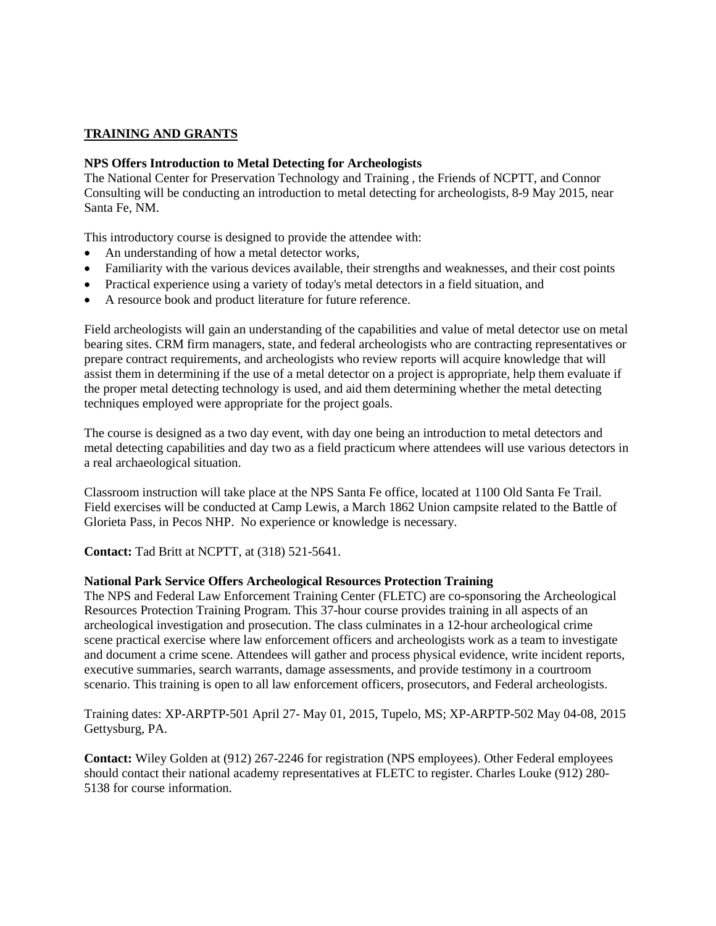## **TRAINING AND GRANTS**

#### **NPS Offers Introduction to Metal Detecting for Archeologists**

The National Center for Preservation Technology and Training , the Friends of NCPTT, and Connor Consulting will be conducting an introduction to metal detecting for archeologists, 8-9 May 2015, near Santa Fe, NM.

This introductory course is designed to provide the attendee with:

- An understanding of how a metal detector works,
- Familiarity with the various devices available, their strengths and weaknesses, and their cost points
- Practical experience using a variety of today's metal detectors in a field situation, and
- A resource book and product literature for future reference.

Field archeologists will gain an understanding of the capabilities and value of metal detector use on metal bearing sites. CRM firm managers, state, and federal archeologists who are contracting representatives or prepare contract requirements, and archeologists who review reports will acquire knowledge that will assist them in determining if the use of a metal detector on a project is appropriate, help them evaluate if the proper metal detecting technology is used, and aid them determining whether the metal detecting techniques employed were appropriate for the project goals.

The course is designed as a two day event, with day one being an introduction to metal detectors and metal detecting capabilities and day two as a field practicum where attendees will use various detectors in a real archaeological situation.

Classroom instruction will take place at the NPS Santa Fe office, located at 1100 Old Santa Fe Trail. Field exercises will be conducted at Camp Lewis, a March 1862 Union campsite related to the Battle of Glorieta Pass, in Pecos NHP. No experience or knowledge is necessary.

**Contact:** Tad Britt at NCPTT, at (318) 521-5641.

#### **National Park Service Offers Archeological Resources Protection Training**

The NPS and Federal Law Enforcement Training Center (FLETC) are co-sponsoring the Archeological Resources Protection Training Program. This 37-hour course provides training in all aspects of an archeological investigation and prosecution. The class culminates in a 12-hour archeological crime scene practical exercise where law enforcement officers and archeologists work as a team to investigate and document a crime scene. Attendees will gather and process physical evidence, write incident reports, executive summaries, search warrants, damage assessments, and provide testimony in a courtroom scenario. This training is open to all law enforcement officers, prosecutors, and Federal archeologists.

Training dates: XP-ARPTP-501 April 27- May 01, 2015, Tupelo, MS; XP-ARPTP-502 May 04-08, 2015 Gettysburg, PA.

**Contact:** Wiley Golden at (912) 267-2246 for registration (NPS employees). Other Federal employees should contact their national academy representatives at FLETC to register. Charles Louke (912) 280- 5138 for course information.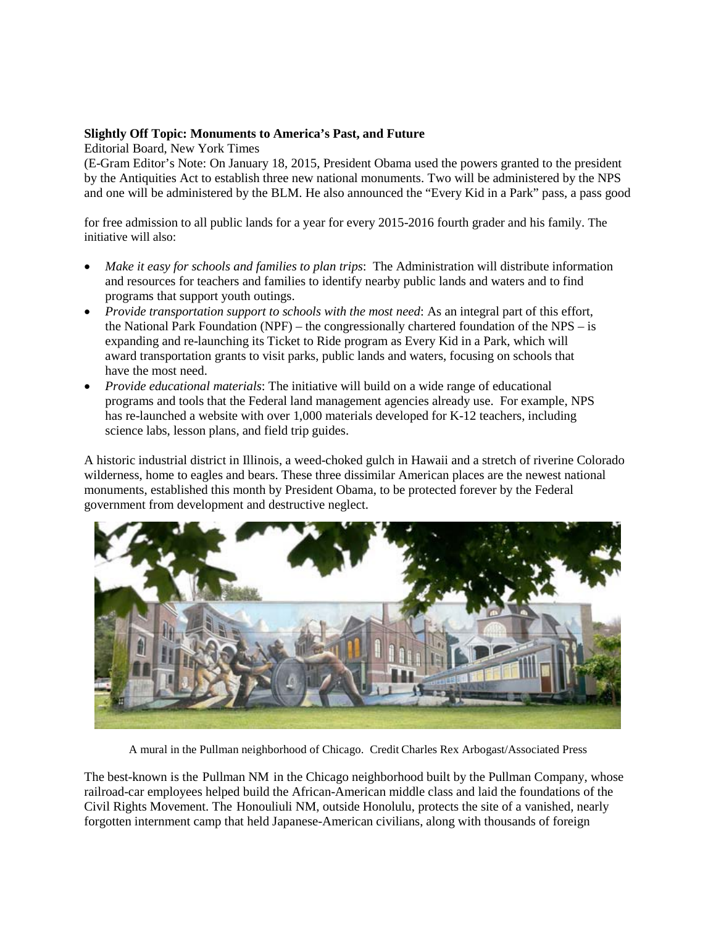#### **Slightly Off Topic: Monuments to America's Past, and Future**

Editorial Board, New York Times

(E-Gram Editor's Note: On January 18, 2015, President Obama used the powers granted to the president by the Antiquities Act to establish three new national monuments. Two will be administered by the NPS and one will be administered by the BLM. He also announced the "Every Kid in a Park" pass, a pass good

for free admission to all public lands for a year for every 2015-2016 fourth grader and his family. The initiative will also:

- *Make it easy for schools and families to plan trips*: The Administration will distribute information and resources for teachers and families to identify nearby public lands and waters and to find programs that support youth outings.
- *Provide transportation support to schools with the most need*: As an integral part of this effort, the National Park Foundation (NPF) – the congressionally chartered foundation of the NPS – is expanding and re-launching its Ticket to Ride program as Every Kid in a Park, which will award transportation grants to visit parks, public lands and waters, focusing on schools that have the most need.
- *Provide educational materials*: The initiative will build on a wide range of educational programs and tools that the Federal land management agencies already use. For example, NPS has re-launched a website with over 1,000 materials developed for K-12 teachers, including science labs, lesson plans, and field trip guides.

A historic industrial district in Illinois, a weed-choked gulch in Hawaii and a stretch of riverine Colorado wilderness, home to eagles and bears. These three dissimilar American places are the newest national monuments, established this month by President Obama, to be protected forever by the Federal government from development and destructive neglect.



A mural in the Pullman neighborhood of Chicago. Credit Charles Rex Arbogast/Associated Press

The best-known is the Pullman NM in the Chicago neighborhood built by the Pullman Company, whose railroad-car employees helped build the African-American middle class and laid the foundations of the Civil Rights Movement. The Honouliuli NM, outside Honolulu, protects the site of a vanished, nearly forgotten internment camp that held Japanese-American civilians, along with thousands of foreign